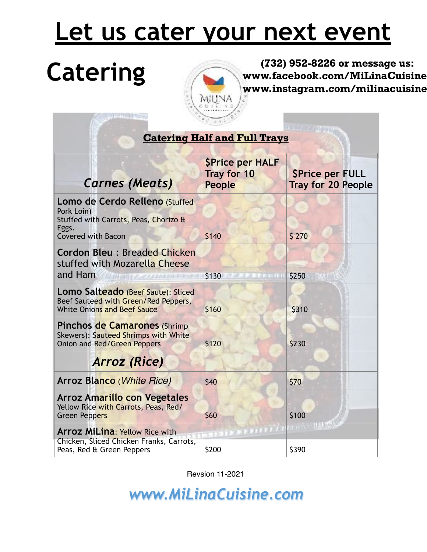## **Let us cater your next event**



Catering **Catering Catering Catering Catering Catering Catering Catering Catering Structure Catering Catering Catering Catering Catering Catering Catering Catering Catering Catering Catering Catering Catering Cater www.facebook.com/MiLinaCuisine/ www.instagram.com/milinacuisine/** 

|                                                                                                                             |                                                               | $10 - 3000$                                         |  |  |
|-----------------------------------------------------------------------------------------------------------------------------|---------------------------------------------------------------|-----------------------------------------------------|--|--|
| <b>Catering Half and Full Trays</b>                                                                                         |                                                               |                                                     |  |  |
| <b>Carnes (Meats)</b>                                                                                                       | <b>SPrice per HALF</b><br><b>Tray for 10</b><br><b>People</b> | <b>SPrice per FULL</b><br><b>Tray for 20 People</b> |  |  |
| Lomo de Cerdo Relleno (Stuffed<br>Pork Loin)<br>Stuffed with Carrots, Peas, Chorizo &<br>Eggs.<br><b>Covered with Bacon</b> | \$140                                                         | \$ 270                                              |  |  |
| <b>Cordon Bleu: Breaded Chicken</b><br>stuffed with Mozarella Cheese<br>and Ham<br>WALLAND COMPOSER                         | \$130<br>14 Pearl (I                                          | \$250                                               |  |  |
| <b>Lomo Salteado</b> (Beef Saute): Sliced<br>Beef Sauteed with Green/Red Peppers,<br><b>White Onions and Beef Sauce</b>     | \$160                                                         | \$310                                               |  |  |
| <b>Pinchos de Camarones (Shrimp)</b><br>Skewers): Sauteed Shrimps with White<br>Onion and Red/Green Peppers                 | \$120                                                         | \$230                                               |  |  |
| <b>Arroz</b> (Rice)                                                                                                         |                                                               |                                                     |  |  |
| Arroz Blanco (White Rice)                                                                                                   | \$40                                                          | \$70                                                |  |  |
| <b>Arroz Amarillo con Vegetales</b><br>Yellow Rice with Carrots, Peas, Red/<br><b>Green Peppers</b>                         | \$60                                                          | \$100                                               |  |  |
| <b>Arroz MiLina: Yellow Rice with</b><br>Chicken, Sliced Chicken Franks, Carrots,<br>Peas, Red & Green Peppers              | <b>STEP</b><br>\$200                                          | <b>INSURAN</b><br>计前向文件<br>\$390                    |  |  |

Revsion 11-2021

*www.MiLinaCuisine.com*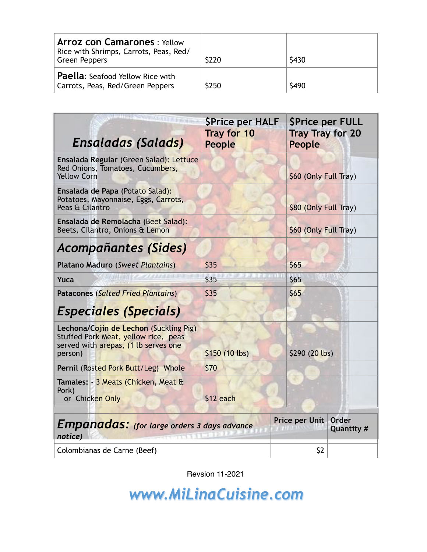| <b>Arroz con Camarones: Yellow</b><br>Rice with Shrimps, Carrots, Peas, Red/<br><b>Green Peppers</b> | \$220 | \$430 |
|------------------------------------------------------------------------------------------------------|-------|-------|
| <b>Paella:</b> Seafood Yellow Rice with<br>Carrots, Peas, Red/Green Peppers                          | \$250 | \$490 |

| <b>WENNATT FIRM</b><br><b>Ensaladas (Salads)</b>                                                                                  | <b>SPrice per HALF</b><br>Tray for 10<br><b>People</b> | <b>SPrice per FULL</b><br><b>Tray Tray for 20</b><br>People |                            |
|-----------------------------------------------------------------------------------------------------------------------------------|--------------------------------------------------------|-------------------------------------------------------------|----------------------------|
| Ensalada Regular (Green Salad): Lettuce<br>Red Onions, Tomatoes, Cucumbers,<br><b>Yellow Corn</b>                                 |                                                        | \$60 (Only Full Tray)                                       |                            |
| Ensalada de Papa (Potato Salad):<br>Potatoes, Mayonnaise, Eggs, Carrots,<br>Peas & Cilantro                                       |                                                        | \$80 (Only Full Tray)                                       |                            |
| Ensalada de Remolacha (Beet Salad):<br>Beets, Cilantro, Onions & Lemon                                                            |                                                        | \$60 (Only Full Tray)                                       |                            |
| <b>Acompañantes (Sides)</b>                                                                                                       |                                                        |                                                             |                            |
| Platano Maduro (Sweet Plantains)                                                                                                  | \$35                                                   | \$65                                                        |                            |
| Yuca                                                                                                                              | \$35                                                   | \$65                                                        |                            |
| <b>Patacones (Salted Fried Plantains)</b>                                                                                         | \$35<br>\$65                                           |                                                             |                            |
| <b>Especiales (Specials)</b>                                                                                                      |                                                        |                                                             |                            |
| Lechona/Cojin de Lechon (Suckling Pig)<br>Stuffed Pork Meat, yellow rice, peas<br>served with arepas, (1 lb serves one<br>person) | $$150(10$ lbs)                                         | \$290 (20 lbs)                                              |                            |
| Pernil (Rosted Pork Butt/Leg) Whole                                                                                               | \$70                                                   |                                                             |                            |
| Tamales: - 3 Meats (Chicken, Meat &<br>Pork)<br>or Chicken Only                                                                   | \$12 each                                              |                                                             |                            |
| Empanadas: (for large orders 3 days advance<br>notice)                                                                            |                                                        | Price per Unit                                              | <b>Order</b><br>Quantity # |
| Colombianas de Carne (Beef)                                                                                                       |                                                        | \$2                                                         |                            |

Revsion 11-2021

*www.MiLinaCuisine.com*